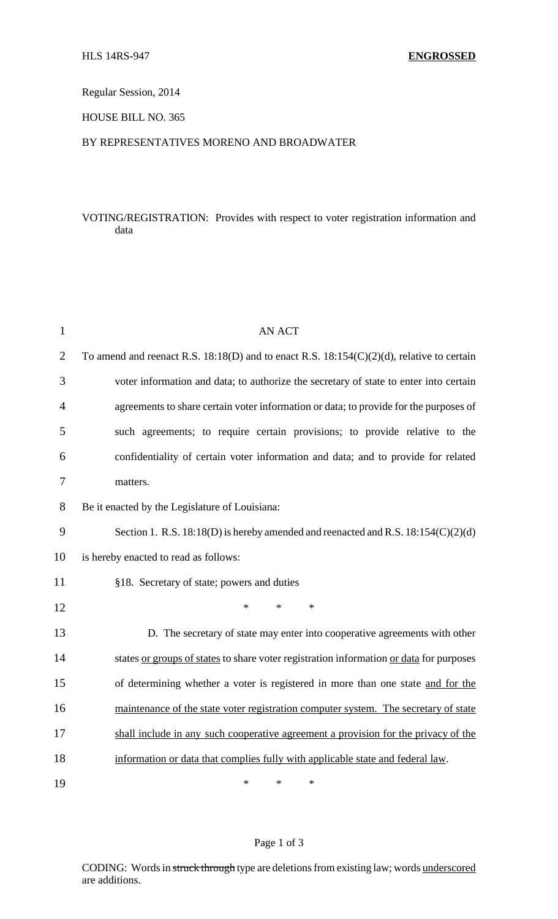Regular Session, 2014

HOUSE BILL NO. 365

#### BY REPRESENTATIVES MORENO AND BROADWATER

## VOTING/REGISTRATION: Provides with respect to voter registration information and data

| $\mathbf{1}$   | <b>AN ACT</b>                                                                                  |
|----------------|------------------------------------------------------------------------------------------------|
| $\overline{2}$ | To amend and reenact R.S. $18:18(D)$ and to enact R.S. $18:154(C)(2)(d)$ , relative to certain |
| 3              | voter information and data; to authorize the secretary of state to enter into certain          |
| 4              | agreements to share certain voter information or data; to provide for the purposes of          |
| 5              | such agreements; to require certain provisions; to provide relative to the                     |
| 6              | confidentiality of certain voter information and data; and to provide for related              |
| 7              | matters.                                                                                       |
| 8              | Be it enacted by the Legislature of Louisiana:                                                 |
| 9              | Section 1. R.S. $18:18(D)$ is hereby amended and reenacted and R.S. $18:154(C)(2)(d)$          |
| 10             | is hereby enacted to read as follows:                                                          |
| 11             | §18. Secretary of state; powers and duties                                                     |
| 12             | $\ast$<br>$\ast$<br>$\ast$                                                                     |
| 13             | D. The secretary of state may enter into cooperative agreements with other                     |
| 14             | states or groups of states to share voter registration information or data for purposes        |
| 15             | of determining whether a voter is registered in more than one state and for the                |
| 16             | maintenance of the state voter registration computer system. The secretary of state            |
| 17             | shall include in any such cooperative agreement a provision for the privacy of the             |
| 18             | information or data that complies fully with applicable state and federal law.                 |
| 19             | ∗<br>∗<br>∗                                                                                    |

### Page 1 of 3

CODING: Words in struck through type are deletions from existing law; words underscored are additions.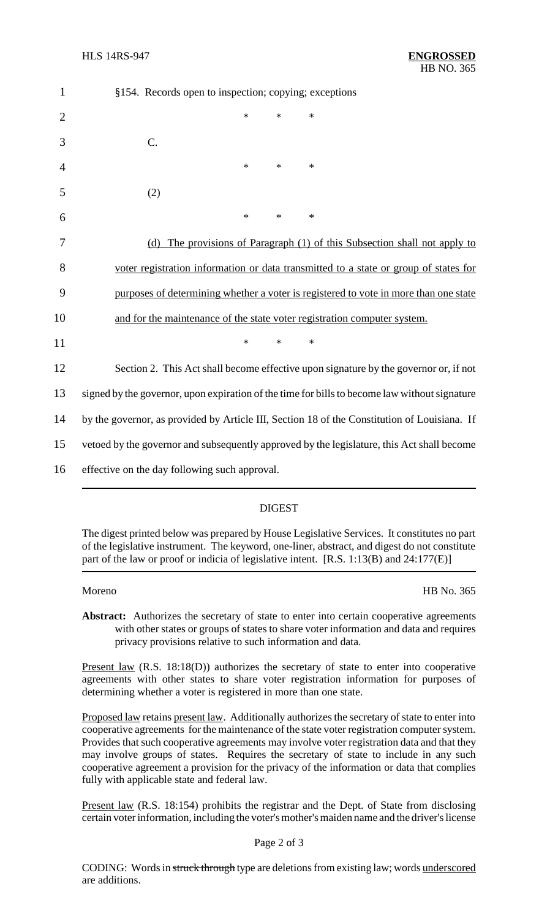| $\mathbf{1}$   | §154. Records open to inspection; copying; exceptions                                         |
|----------------|-----------------------------------------------------------------------------------------------|
| $\overline{2}$ | $\ast$<br>$\ast$<br>$\ast$                                                                    |
| 3              | C.                                                                                            |
| 4              | *<br>$\ast$<br>$\ast$                                                                         |
| 5              | (2)                                                                                           |
| 6              | $\ast$<br>$\ast$<br>$\ast$                                                                    |
| 7              | (d) The provisions of Paragraph (1) of this Subsection shall not apply to                     |
| 8              | voter registration information or data transmitted to a state or group of states for          |
| 9              | purposes of determining whether a voter is registered to vote in more than one state          |
| 10             | and for the maintenance of the state voter registration computer system.                      |
| 11             | $\ast$<br>$\ast$<br>$\ast$                                                                    |
| 12             | Section 2. This Act shall become effective upon signature by the governor or, if not          |
| 13             | signed by the governor, upon expiration of the time for bills to become law without signature |
| 14             | by the governor, as provided by Article III, Section 18 of the Constitution of Louisiana. If  |
| 15             | vetoed by the governor and subsequently approved by the legislature, this Act shall become    |
| 16             | effective on the day following such approval.                                                 |

# DIGEST

The digest printed below was prepared by House Legislative Services. It constitutes no part of the legislative instrument. The keyword, one-liner, abstract, and digest do not constitute part of the law or proof or indicia of legislative intent. [R.S. 1:13(B) and 24:177(E)]

Moreno HB No. 365

Abstract: Authorizes the secretary of state to enter into certain cooperative agreements with other states or groups of states to share voter information and data and requires privacy provisions relative to such information and data.

Present law (R.S. 18:18(D)) authorizes the secretary of state to enter into cooperative agreements with other states to share voter registration information for purposes of determining whether a voter is registered in more than one state.

Proposed law retains present law. Additionally authorizes the secretary of state to enter into cooperative agreements for the maintenance of the state voter registration computer system. Provides that such cooperative agreements may involve voter registration data and that they may involve groups of states. Requires the secretary of state to include in any such cooperative agreement a provision for the privacy of the information or data that complies fully with applicable state and federal law.

Present law (R.S. 18:154) prohibits the registrar and the Dept. of State from disclosing certain voter information, including the voter's mother's maiden name and the driver's license